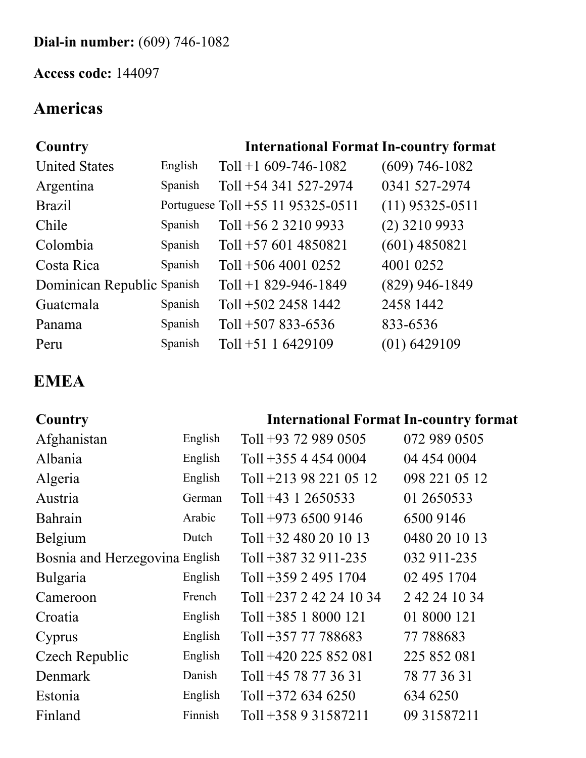### **Dial-in number:** (609) 746-1082

### **Access code:** 144097

## **Americas**

### **Country International Format In-country format**

| <b>United States</b>       | English | Toll +1 $609-746-1082$            | $(609)$ 746-1082  |
|----------------------------|---------|-----------------------------------|-------------------|
| Argentina                  | Spanish | Toll +54 341 527-2974             | 0341 527-2974     |
| <b>Brazil</b>              |         | Portuguese Toll +55 11 95325-0511 | $(11)$ 95325-0511 |
| Chile                      | Spanish | Toll +56 2 3210 9933              | $(2)$ 3210 9933   |
| Colombia                   | Spanish | Toll $+576014850821$              | $(601)$ 4850821   |
| Costa Rica                 | Spanish | Toll $+506$ 4001 0252             | 4001 0252         |
| Dominican Republic Spanish |         | Toll +1 829-946-1849              | $(829)$ 946-1849  |
| Guatemala                  | Spanish | Toll +502 2458 1442               | 2458 1442         |
| Panama                     | Spanish | Toll $+507833-6536$               | 833-6536          |
| Peru                       | Spanish | Toll $+51$ 1 6429109              | $(01)$ 6429109    |

## **EMEA**

### **Country International Format In-country format**

| Afghanistan                    | English | Toll +93 72 989 0505    | 072 989 0505  |
|--------------------------------|---------|-------------------------|---------------|
| Albania                        | English | Toll +355 4 454 0004    | 04 454 0004   |
| Algeria                        | English | Toll +213 98 221 05 12  | 098 221 05 12 |
| Austria                        | German  | Toll +43 1 2650533      | 01 2650533    |
| Bahrain                        | Arabic  | Toll $+973$ 6500 9146   | 6500 9146     |
| Belgium                        | Dutch   | Toll $+32$ 480 20 10 13 | 0480 20 10 13 |
| Bosnia and Herzegovina English |         | Toll $+387$ 32 911-235  | 032 911-235   |
| Bulgaria                       | English | Toll +359 2 495 1704    | 02 495 1704   |
| Cameroon                       | French  | Toll +237 2 42 24 10 34 | 2 42 24 10 34 |
| Croatia                        | English | Toll $+385$ 1 8000 121  | 01 8000 121   |
| Cyprus                         | English | Toll +357 77 788683     | 77 788683     |
| Czech Republic                 | English | Toll +420 225 852 081   | 225 852 081   |
| Denmark                        | Danish  | Toll +45 78 77 36 31    | 78 77 36 31   |
| Estonia                        | English | Toll $+372$ 634 6250    | 634 6250      |
| Finland                        | Finnish | Toll +358 9 31587211    | 09 31587211   |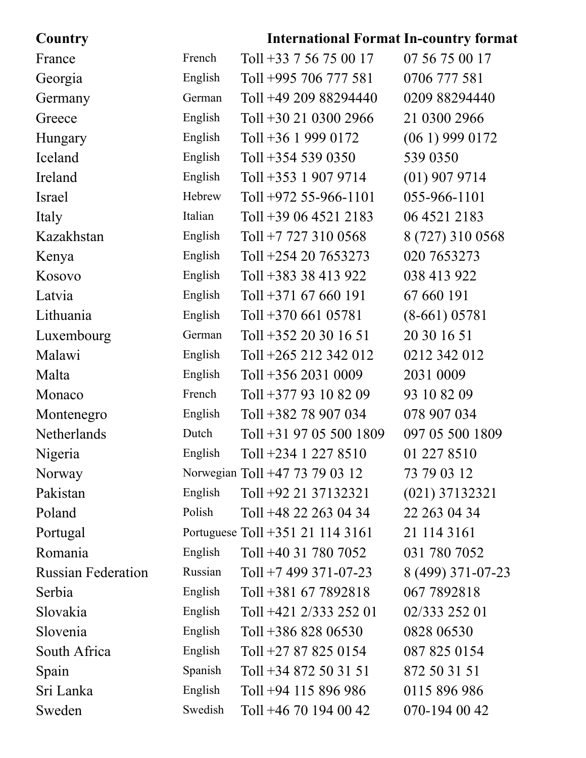# **Country International Format In-country format**

| France                    | French  | Toll +33 7 56 75 00 17           | 07 56 75 00 17    |
|---------------------------|---------|----------------------------------|-------------------|
| Georgia                   | English | Toll +995 706 777 581            | 0706 777 581      |
| Germany                   | German  | Toll +49 209 88294440            | 0209 88294440     |
| Greece                    | English | Toll $+30$ 21 0300 2966          | 21 0300 2966      |
| Hungary                   | English | Toll $+36$ 1 999 0172            | $(061)$ 999 0172  |
| Iceland                   | English | Toll $+354$ 539 0350             | 539 0350          |
| Ireland                   | English | Toll $+353$ 1 907 9714           | $(01)$ 907 9714   |
| Israel                    | Hebrew  | Toll $+972$ 55-966-1101          | 055-966-1101      |
| Italy                     | Italian | Toll +39 06 4521 2183            | 06 4521 2183      |
| Kazakhstan                | English | Toll +7 727 310 0568             | 8 (727) 310 0568  |
| Kenya                     | English | Toll $+254$ 20 7653273           | 020 7653273       |
| Kosovo                    | English | Toll +383 38 413 922             | 038 413 922       |
| Latvia                    | English | Toll $+371$ 67 660 191           | 67 660 191        |
| Lithuania                 | English | Toll $+370$ 661 05781            | $(8-661) 05781$   |
| Luxembourg                | German  | Toll $+352$ 20 30 16 51          | 20 30 16 51       |
| Malawi                    | English | Toll +265 212 342 012            | 0212 342 012      |
| Malta                     | English | Toll $+356$ 2031 0009            | 2031 0009         |
| Monaco                    | French  | Toll +377 93 10 82 09            | 93 10 82 09       |
| Montenegro                | English | Toll +382 78 907 034             | 078 907 034       |
| Netherlands               | Dutch   | Toll +31 97 05 500 1809          | 097 05 500 1809   |
| Nigeria                   | English | Toll $+234$ 1 227 8510           | 01 227 8510       |
| Norway                    |         | Norwegian Toll +47 73 79 03 12   | 73 79 03 12       |
| Pakistan                  | English | Toll +92 21 37132321             | $(021)$ 37132321  |
| Poland                    | Polish  | Toll $+48$ 22 263 04 34          | 22 263 04 34      |
| Portugal                  |         | Portuguese Toll +351 21 114 3161 | 21 114 3161       |
| Romania                   | English | Toll +40 31 780 7052             | 031 780 7052      |
| <b>Russian Federation</b> | Russian | Toll +7 499 371-07-23            | 8 (499) 371-07-23 |
| Serbia                    | English | Toll +381 67 7892818             | 067 7892818       |
| Slovakia                  | English | Toll +421 2/333 252 01           | 02/333 252 01     |
| Slovenia                  | English | Toll $+38682806530$              | 0828 06530        |
| South Africa              | English | Toll +27 87 825 0154             | 087 825 0154      |
| Spain                     | Spanish | Toll +34 872 50 31 51            | 872 50 31 51      |
| Sri Lanka                 | English | Toll +94 115 896 986             | 0115 896 986      |
| Sweden                    | Swedish | Toll +46 70 194 00 42            | 070-194 00 42     |